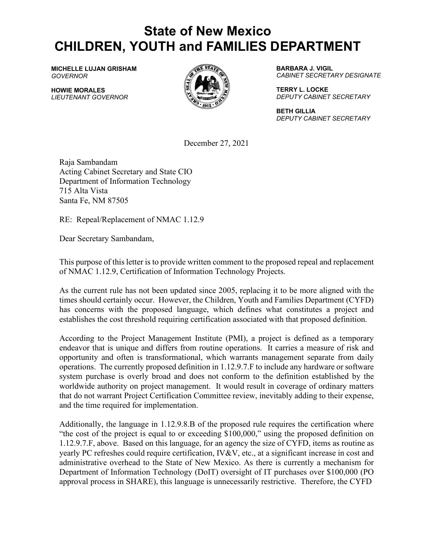## **State of New Mexico CHILDREN, YOUTH and FAMILIES DEPARTMENT**

**MICHELLE LUJAN GRISHAM** *GOVERNOR*

**HOWIE MORALES** *LIEUTENANT GOVERNOR*



**BARBARA J. VIGIL** *CABINET SECRETARY DESIGNATE*

**TERRY L. LOCKE** *DEPUTY CABINET SECRETARY*

**BETH GILLIA** *DEPUTY CABINET SECRETARY*

December 27, 2021

Raja Sambandam Acting Cabinet Secretary and State CIO Department of Information Technology 715 Alta Vista Santa Fe, NM 87505

RE: Repeal/Replacement of NMAC 1.12.9

Dear Secretary Sambandam,

This purpose of this letter is to provide written comment to the proposed repeal and replacement of NMAC 1.12.9, Certification of Information Technology Projects.

As the current rule has not been updated since 2005, replacing it to be more aligned with the times should certainly occur. However, the Children, Youth and Families Department (CYFD) has concerns with the proposed language, which defines what constitutes a project and establishes the cost threshold requiring certification associated with that proposed definition.

According to the Project Management Institute (PMI), a project is defined as a temporary endeavor that is unique and differs from routine operations. It carries a measure of risk and opportunity and often is transformational, which warrants management separate from daily operations. The currently proposed definition in 1.12.9.7.F to include any hardware or software system purchase is overly broad and does not conform to the definition established by the worldwide authority on project management. It would result in coverage of ordinary matters that do not warrant Project Certification Committee review, inevitably adding to their expense, and the time required for implementation.

Additionally, the language in 1.12.9.8.B of the proposed rule requires the certification where "the cost of the project is equal to or exceeding \$100,000," using the proposed definition on 1.12.9.7.F, above. Based on this language, for an agency the size of CYFD, items as routine as yearly PC refreshes could require certification, IV&V, etc., at a significant increase in cost and administrative overhead to the State of New Mexico. As there is currently a mechanism for Department of Information Technology (DoIT) oversight of IT purchases over \$100,000 (PO approval process in SHARE), this language is unnecessarily restrictive. Therefore, the CYFD